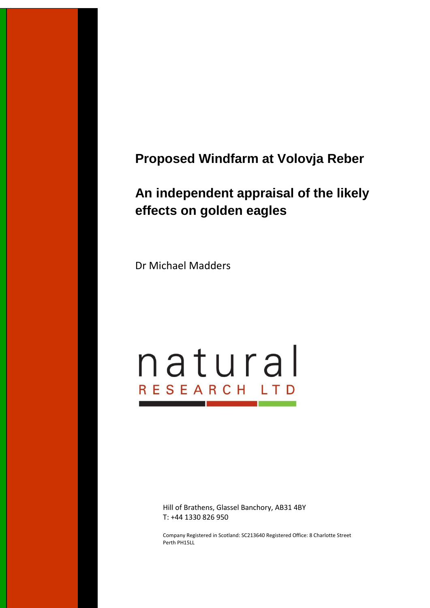## **Proposed Windfarm at Volovja Reber**

# **An independent appraisal of the likely effects on golden eagles**

Dr Michael Madders

# natural RESEARCH LTD

Hill of Brathens, Glassel Banchory, AB31 4BY T: +44 1330 826 950

Company Registered in Scotland: SC213640 Registered Office: 8 Charlotte Street Perth PH15LL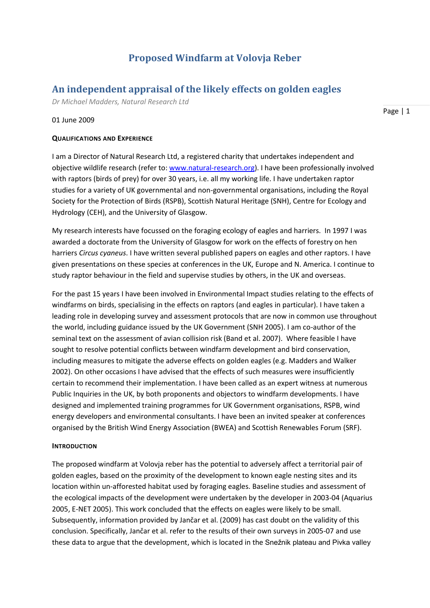## **Proposed Windfarm at Volovja Reber**

### **An independent appraisal of the likely effects on golden eagles**

*Dr Michael Madders, Natural Research Ltd*

#### 01 June 2009

#### **QUALIFICATIONS AND EXPERIENCE**

I am a Director of Natural Research Ltd, a registered charity that undertakes independent and objective wildlife research (refer to: [www.natural-research.org\)](http://www.natural-research.org/). I have been professionally involved with raptors (birds of prey) for over 30 years, i.e. all my working life. I have undertaken raptor studies for a variety of UK governmental and non-governmental organisations, including the Royal Society for the Protection of Birds (RSPB), Scottish Natural Heritage (SNH), Centre for Ecology and Hydrology (CEH), and the University of Glasgow.

My research interests have focussed on the foraging ecology of eagles and harriers. In 1997 I was awarded a doctorate from the University of Glasgow for work on the effects of forestry on hen harriers *Circus cyaneus*. I have written several published papers on eagles and other raptors. I have given presentations on these species at conferences in the UK, Europe and N. America. I continue to study raptor behaviour in the field and supervise studies by others, in the UK and overseas.

For the past 15 years I have been involved in Environmental Impact studies relating to the effects of windfarms on birds, specialising in the effects on raptors (and eagles in particular). I have taken a leading role in developing survey and assessment protocols that are now in common use throughout the world, including guidance issued by the UK Government (SNH 2005). I am co-author of the seminal text on the assessment of avian collision risk (Band et al. 2007). Where feasible I have sought to resolve potential conflicts between windfarm development and bird conservation, including measures to mitigate the adverse effects on golden eagles (e.g. Madders and Walker 2002). On other occasions I have advised that the effects of such measures were insufficiently certain to recommend their implementation. I have been called as an expert witness at numerous Public Inquiries in the UK, by both proponents and objectors to windfarm developments. I have designed and implemented training programmes for UK Government organisations, RSPB, wind energy developers and environmental consultants. I have been an invited speaker at conferences organised by the British Wind Energy Association (BWEA) and Scottish Renewables Forum (SRF).

#### **INTRODUCTION**

The proposed windfarm at Volovja reber has the potential to adversely affect a territorial pair of golden eagles, based on the proximity of the development to known eagle nesting sites and its location within un-afforested habitat used by foraging eagles. Baseline studies and assessment of the ecological impacts of the development were undertaken by the developer in 2003-04 (Aquarius 2005, E-NET 2005). This work concluded that the effects on eagles were likely to be small. Subsequently, information provided by Jančar et al. (2009) has cast doubt on the validity of this conclusion. Specifically, Jančar et al. refer to the results of their own surveys in 2005-07 and use these data to argue that the development, which is located in the Snežnik plateau and Pivka valley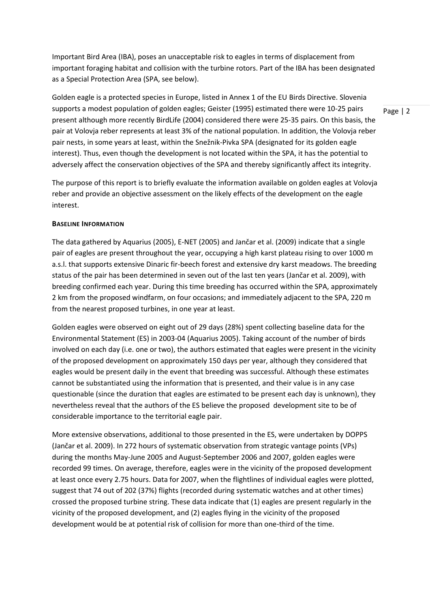Important Bird Area (IBA), poses an unacceptable risk to eagles in terms of displacement from important foraging habitat and collision with the turbine rotors. Part of the IBA has been designated as a Special Protection Area (SPA, see below).

Golden eagle is a protected species in Europe, listed in Annex 1 of the EU Birds Directive. Slovenia supports a modest population of golden eagles; Geister (1995) estimated there were 10-25 pairs present although more recently BirdLife (2004) considered there were 25-35 pairs. On this basis, the pair at Volovja reber represents at least 3% of the national population. In addition, the Volovja reber pair nests, in some years at least, within the Snežnik-Pivka SPA (designated for its golden eagle interest). Thus, even though the development is not located within the SPA, it has the potential to adversely affect the conservation objectives of the SPA and thereby significantly affect its integrity.

The purpose of this report is to briefly evaluate the information available on golden eagles at Volovja reber and provide an objective assessment on the likely effects of the development on the eagle interest.

#### **BASELINE INFORMATION**

The data gathered by Aquarius (2005), E-NET (2005) and Jančar et al. (2009) indicate that a single pair of eagles are present throughout the year, occupying a high karst plateau rising to over 1000 m a.s.l. that supports extensive Dinaric fir-beech forest and extensive dry karst meadows. The breeding status of the pair has been determined in seven out of the last ten years (Jančar et al. 2009), with breeding confirmed each year. During this time breeding has occurred within the SPA, approximately 2 km from the proposed windfarm, on four occasions; and immediately adjacent to the SPA, 220 m from the nearest proposed turbines, in one year at least.

Golden eagles were observed on eight out of 29 days (28%) spent collecting baseline data for the Environmental Statement (ES) in 2003-04 (Aquarius 2005). Taking account of the number of birds involved on each day (i.e. one or two), the authors estimated that eagles were present in the vicinity of the proposed development on approximately 150 days per year, although they considered that eagles would be present daily in the event that breeding was successful. Although these estimates cannot be substantiated using the information that is presented, and their value is in any case questionable (since the duration that eagles are estimated to be present each day is unknown), they nevertheless reveal that the authors of the ES believe the proposed development site to be of considerable importance to the territorial eagle pair.

More extensive observations, additional to those presented in the ES, were undertaken by DOPPS (Jančar et al. 2009). In 272 hours of systematic observation from strategic vantage points (VPs) during the months May-June 2005 and August-September 2006 and 2007, golden eagles were recorded 99 times. On average, therefore, eagles were in the vicinity of the proposed development at least once every 2.75 hours. Data for 2007, when the flightlines of individual eagles were plotted, suggest that 74 out of 202 (37%) flights (recorded during systematic watches and at other times) crossed the proposed turbine string. These data indicate that (1) eagles are present regularly in the vicinity of the proposed development, and (2) eagles flying in the vicinity of the proposed development would be at potential risk of collision for more than one-third of the time.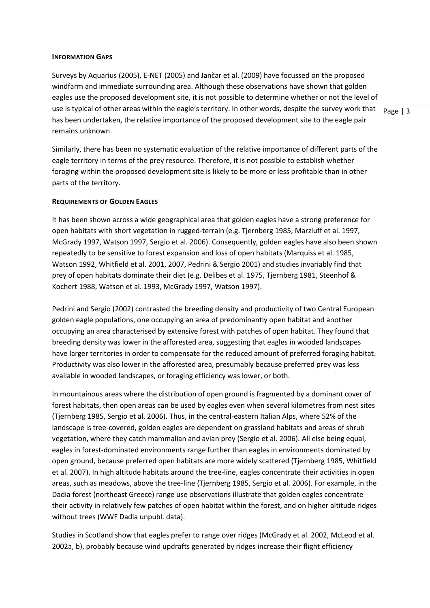#### **INFORMATION GAPS**

use is typical of other areas within the eagle's territory. In other words, despite the survey work that  $\vert$  Page | 3 Surveys by Aquarius (2005), E-NET (2005) and Jančar et al. (2009) have focussed on the proposed windfarm and immediate surrounding area. Although these observations have shown that golden eagles use the proposed development site, it is not possible to determine whether or not the level of has been undertaken, the relative importance of the proposed development site to the eagle pair remains unknown.

Similarly, there has been no systematic evaluation of the relative importance of different parts of the eagle territory in terms of the prey resource. Therefore, it is not possible to establish whether foraging within the proposed development site is likely to be more or less profitable than in other parts of the territory.

#### **REQUIREMENTS OF GOLDEN EAGLES**

It has been shown across a wide geographical area that golden eagles have a strong preference for open habitats with short vegetation in rugged-terrain (e.g. Tjernberg 1985, Marzluff et al. 1997, McGrady 1997, Watson 1997, Sergio et al. 2006). Consequently, golden eagles have also been shown repeatedly to be sensitive to forest expansion and loss of open habitats (Marquiss et al. 1985, Watson 1992, Whitfield et al. 2001, 2007, Pedrini & Sergio 2001) and studies invariably find that prey of open habitats dominate their diet (e.g. Delibes et al. 1975, Tjernberg 1981, Steenhof & Kochert 1988, Watson et al. 1993, McGrady 1997, Watson 1997).

Pedrini and Sergio (2002) contrasted the breeding density and productivity of two Central European golden eagle populations, one occupying an area of predominantly open habitat and another occupying an area characterised by extensive forest with patches of open habitat. They found that breeding density was lower in the afforested area, suggesting that eagles in wooded landscapes have larger territories in order to compensate for the reduced amount of preferred foraging habitat. Productivity was also lower in the afforested area, presumably because preferred prey was less available in wooded landscapes, or foraging efficiency was lower, or both.

In mountainous areas where the distribution of open ground is fragmented by a dominant cover of forest habitats, then open areas can be used by eagles even when several kilometres from nest sites (Tjernberg 1985, Sergio et al. 2006). Thus, in the central-eastern Italian Alps, where 52% of the landscape is tree-covered, golden eagles are dependent on grassland habitats and areas of shrub vegetation, where they catch mammalian and avian prey (Sergio et al. 2006). All else being equal, eagles in forest-dominated environments range further than eagles in environments dominated by open ground, because preferred open habitats are more widely scattered (Tjernberg 1985, Whitfield et al. 2007). In high altitude habitats around the tree-line, eagles concentrate their activities in open areas, such as meadows, above the tree-line (Tjernberg 1985, Sergio et al. 2006). For example, in the Dadia forest (northeast Greece) range use observations illustrate that golden eagles concentrate their activity in relatively few patches of open habitat within the forest, and on higher altitude ridges without trees (WWF Dadia unpubl. data).

Studies in Scotland show that eagles prefer to range over ridges (McGrady et al. 2002, McLeod et al. 2002a, b), probably because wind updrafts generated by ridges increase their flight efficiency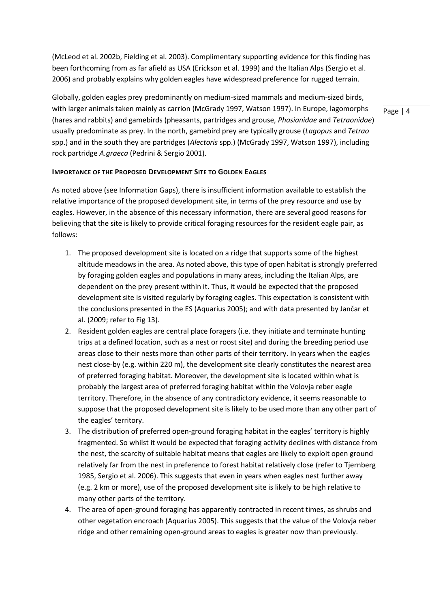(McLeod et al. 2002b, Fielding et al. 2003). Complimentary supporting evidence for this finding has been forthcoming from as far afield as USA (Erickson et al. 1999) and the Italian Alps (Sergio et al. 2006) and probably explains why golden eagles have widespread preference for rugged terrain.

Globally, golden eagles prey predominantly on medium-sized mammals and medium-sized birds, with larger animals taken mainly as carrion (McGrady 1997, Watson 1997). In Europe, lagomorphs (hares and rabbits) and gamebirds (pheasants, partridges and grouse, *Phasianidae* and *Tetraonidae*) usually predominate as prey. In the north, gamebird prey are typically grouse (*Lagopus* and *Tetrao* spp.) and in the south they are partridges (*Alectoris* spp.) (McGrady 1997, Watson 1997), including rock partridge *A.graeca* (Pedrini & Sergio 2001).

Page | 4

#### **IMPORTANCE OF THE PROPOSED DEVELOPMENT SITE TO GOLDEN EAGLES**

As noted above (see Information Gaps), there is insufficient information available to establish the relative importance of the proposed development site, in terms of the prey resource and use by eagles. However, in the absence of this necessary information, there are several good reasons for believing that the site is likely to provide critical foraging resources for the resident eagle pair, as follows:

- 1. The proposed development site is located on a ridge that supports some of the highest altitude meadows in the area. As noted above, this type of open habitat is strongly preferred by foraging golden eagles and populations in many areas, including the Italian Alps, are dependent on the prey present within it. Thus, it would be expected that the proposed development site is visited regularly by foraging eagles. This expectation is consistent with the conclusions presented in the ES (Aquarius 2005); and with data presented by Jančar et al. (2009; refer to Fig 13).
- 2. Resident golden eagles are central place foragers (i.e. they initiate and terminate hunting trips at a defined location, such as a nest or roost site) and during the breeding period use areas close to their nests more than other parts of their territory. In years when the eagles nest close-by (e.g. within 220 m), the development site clearly constitutes the nearest area of preferred foraging habitat. Moreover, the development site is located within what is probably the largest area of preferred foraging habitat within the Volovja reber eagle territory. Therefore, in the absence of any contradictory evidence, it seems reasonable to suppose that the proposed development site is likely to be used more than any other part of the eagles' territory.
- 3. The distribution of preferred open-ground foraging habitat in the eagles' territory is highly fragmented. So whilst it would be expected that foraging activity declines with distance from the nest, the scarcity of suitable habitat means that eagles are likely to exploit open ground relatively far from the nest in preference to forest habitat relatively close (refer to Tjernberg 1985, Sergio et al. 2006). This suggests that even in years when eagles nest further away (e.g. 2 km or more), use of the proposed development site is likely to be high relative to many other parts of the territory.
- 4. The area of open-ground foraging has apparently contracted in recent times, as shrubs and other vegetation encroach (Aquarius 2005). This suggests that the value of the Volovja reber ridge and other remaining open-ground areas to eagles is greater now than previously.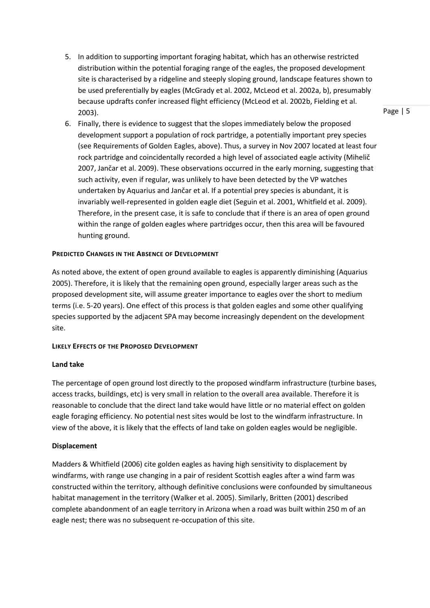- 5. In addition to supporting important foraging habitat, which has an otherwise restricted distribution within the potential foraging range of the eagles, the proposed development site is characterised by a ridgeline and steeply sloping ground, landscape features shown to be used preferentially by eagles (McGrady et al. 2002, McLeod et al. 2002a, b), presumably because updrafts confer increased flight efficiency (McLeod et al. 2002b, Fielding et al. 2003).
- 6. Finally, there is evidence to suggest that the slopes immediately below the proposed development support a population of rock partridge, a potentially important prey species (see Requirements of Golden Eagles, above). Thus, a survey in Nov 2007 located at least four rock partridge and coincidentally recorded a high level of associated eagle activity (Mihelič 2007, Jančar et al. 2009). These observations occurred in the early morning, suggesting that such activity, even if regular, was unlikely to have been detected by the VP watches undertaken by Aquarius and Jančar et al. If a potential prey species is abundant, it is invariably well-represented in golden eagle diet (Seguin et al. 2001, Whitfield et al. 2009). Therefore, in the present case, it is safe to conclude that if there is an area of open ground within the range of golden eagles where partridges occur, then this area will be favoured hunting ground.

#### **PREDICTED CHANGES IN THE ABSENCE OF DEVELOPMENT**

As noted above, the extent of open ground available to eagles is apparently diminishing (Aquarius 2005). Therefore, it is likely that the remaining open ground, especially larger areas such as the proposed development site, will assume greater importance to eagles over the short to medium terms (i.e. 5-20 years). One effect of this process is that golden eagles and some other qualifying species supported by the adjacent SPA may become increasingly dependent on the development site.

#### **LIKELY EFFECTS OF THE PROPOSED DEVELOPMENT**

#### **Land take**

The percentage of open ground lost directly to the proposed windfarm infrastructure (turbine bases, access tracks, buildings, etc) is very small in relation to the overall area available. Therefore it is reasonable to conclude that the direct land take would have little or no material effect on golden eagle foraging efficiency. No potential nest sites would be lost to the windfarm infrastructure. In view of the above, it is likely that the effects of land take on golden eagles would be negligible.

#### **Displacement**

Madders & Whitfield (2006) cite golden eagles as having high sensitivity to displacement by windfarms, with range use changing in a pair of resident Scottish eagles after a wind farm was constructed within the territory, although definitive conclusions were confounded by simultaneous habitat management in the territory (Walker et al. 2005). Similarly, Britten (2001) described complete abandonment of an eagle territory in Arizona when a road was built within 250 m of an eagle nest; there was no subsequent re-occupation of this site.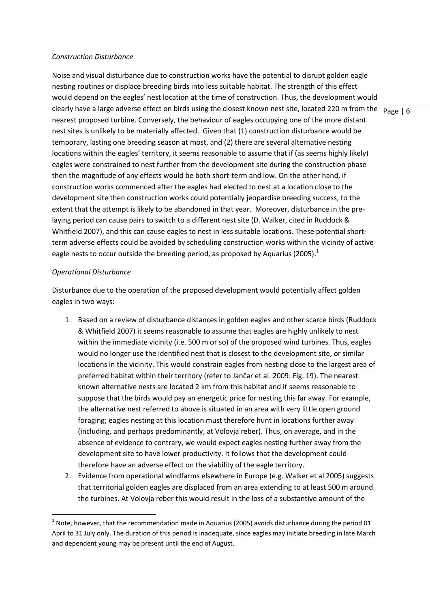#### *Construction Disturbance*

clearly have a large adverse effect on birds using the closest known nest site, located 220 m from the  $\vert$  p<sub>age</sub> | 6 Noise and visual disturbance due to construction works have the potential to disrupt golden eagle nesting routines or displace breeding birds into less suitable habitat. The strength of this effect would depend on the eagles' nest location at the time of construction. Thus, the development would nearest proposed turbine. Conversely, the behaviour of eagles occupying one of the more distant nest sites is unlikely to be materially affected. Given that (1) construction disturbance would be temporary, lasting one breeding season at most, and (2) there are several alternative nesting locations within the eagles' territory, it seems reasonable to assume that if (as seems highly likely) eagles were constrained to nest further from the development site during the construction phase then the magnitude of any effects would be both short-term and low. On the other hand, if construction works commenced after the eagles had elected to nest at a location close to the development site then construction works could potentially jeopardise breeding success, to the extent that the attempt is likely to be abandoned in that year. Moreover, disturbance in the prelaying period can cause pairs to switch to a different nest site (D. Walker, cited in Ruddock & Whitfield 2007), and this can cause eagles to nest in less suitable locations. These potential shortterm adverse effects could be avoided by scheduling construction works within the vicinity of active eagle nests to occur outside the breeding period, as proposed by Aquarius (2005).<sup>1</sup>

#### *Operational Disturbance*

 $\overline{a}$ 

Disturbance due to the operation of the proposed development would potentially affect golden eagles in two ways:

- 1. Based on a review of disturbance distances in golden eagles and other scarce birds (Ruddock & Whitfield 2007) it seems reasonable to assume that eagles are highly unlikely to nest within the immediate vicinity (i.e. 500 m or so) of the proposed wind turbines. Thus, eagles would no longer use the identified nest that is closest to the development site, or similar locations in the vicinity. This would constrain eagles from nesting close to the largest area of preferred habitat within their territory (refer to Jančar et al. 2009: Fig. 19). The nearest known alternative nests are located 2 km from this habitat and it seems reasonable to suppose that the birds would pay an energetic price for nesting this far away. For example, the alternative nest referred to above is situated in an area with very little open ground foraging; eagles nesting at this location must therefore hunt in locations further away (including, and perhaps predominantly, at Volovja reber). Thus, on average, and in the absence of evidence to contrary, we would expect eagles nesting further away from the development site to have lower productivity. It follows that the development could therefore have an adverse effect on the viability of the eagle territory.
- 2. Evidence from operational windfarms elsewhere in Europe (e.g. Walker et al 2005) suggests that territorial golden eagles are displaced from an area extending to at least 500 m around the turbines. At Volovja reber this would result in the loss of a substantive amount of the

 $1$  Note, however, that the recommendation made in Aquarius (2005) avoids disturbance during the period 01 April to 31 July only. The duration of this period is inadequate, since eagles may initiate breeding in late March and dependent young may be present until the end of August.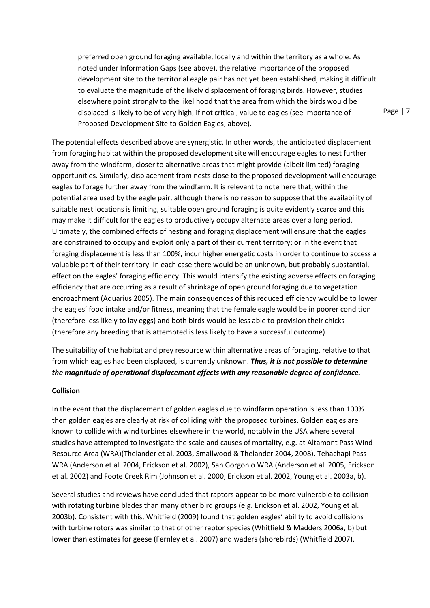preferred open ground foraging available, locally and within the territory as a whole. As noted under Information Gaps (see above), the relative importance of the proposed development site to the territorial eagle pair has not yet been established, making it difficult to evaluate the magnitude of the likely displacement of foraging birds. However, studies elsewhere point strongly to the likelihood that the area from which the birds would be displaced is likely to be of very high, if not critical, value to eagles (see Importance of Proposed Development Site to Golden Eagles, above).

The potential effects described above are synergistic. In other words, the anticipated displacement from foraging habitat within the proposed development site will encourage eagles to nest further away from the windfarm, closer to alternative areas that might provide (albeit limited) foraging opportunities. Similarly, displacement from nests close to the proposed development will encourage eagles to forage further away from the windfarm. It is relevant to note here that, within the potential area used by the eagle pair, although there is no reason to suppose that the availability of suitable nest locations is limiting, suitable open ground foraging is quite evidently scarce and this may make it difficult for the eagles to productively occupy alternate areas over a long period. Ultimately, the combined effects of nesting and foraging displacement will ensure that the eagles are constrained to occupy and exploit only a part of their current territory; or in the event that foraging displacement is less than 100%, incur higher energetic costs in order to continue to access a valuable part of their territory. In each case there would be an unknown, but probably substantial, effect on the eagles' foraging efficiency. This would intensify the existing adverse effects on foraging efficiency that are occurring as a result of shrinkage of open ground foraging due to vegetation encroachment (Aquarius 2005). The main consequences of this reduced efficiency would be to lower the eagles' food intake and/or fitness, meaning that the female eagle would be in poorer condition (therefore less likely to lay eggs) and both birds would be less able to provision their chicks (therefore any breeding that is attempted is less likely to have a successful outcome).

The suitability of the habitat and prey resource within alternative areas of foraging, relative to that from which eagles had been displaced, is currently unknown. *Thus, it is not possible to determine the magnitude of operational displacement effects with any reasonable degree of confidence.*

#### **Collision**

In the event that the displacement of golden eagles due to windfarm operation is less than 100% then golden eagles are clearly at risk of colliding with the proposed turbines. Golden eagles are known to collide with wind turbines elsewhere in the world, notably in the USA where several studies have attempted to investigate the scale and causes of mortality, e.g. at Altamont Pass Wind Resource Area (WRA)(Thelander et al. 2003, Smallwood & Thelander 2004, 2008), Tehachapi Pass WRA (Anderson et al. 2004, Erickson et al. 2002), San Gorgonio WRA (Anderson et al. 2005, Erickson et al. 2002) and Foote Creek Rim (Johnson et al. 2000, Erickson et al. 2002, Young et al. 2003a, b).

Several studies and reviews have concluded that raptors appear to be more vulnerable to collision with rotating turbine blades than many other bird groups (e.g. Erickson et al. 2002, Young et al. 2003b). Consistent with this, Whitfield (2009) found that golden eagles' ability to avoid collisions with turbine rotors was similar to that of other raptor species (Whitfield & Madders 2006a, b) but lower than estimates for geese (Fernley et al. 2007) and waders (shorebirds) (Whitfield 2007).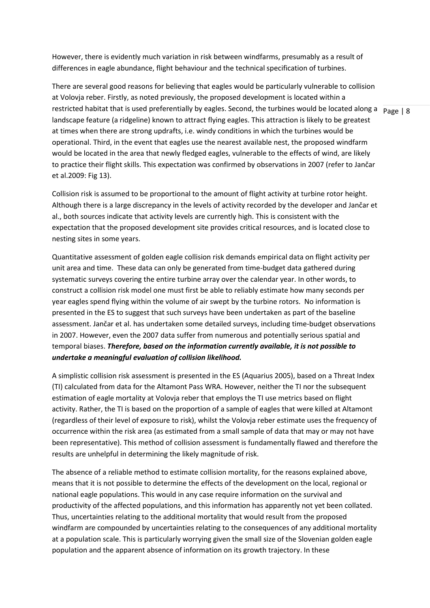However, there is evidently much variation in risk between windfarms, presumably as a result of differences in eagle abundance, flight behaviour and the technical specification of turbines.

Page | 8 restricted habitat that is used preferentially by eagles. Second, the turbines would be located along a There are several good reasons for believing that eagles would be particularly vulnerable to collision at Volovja reber. Firstly, as noted previously, the proposed development is located within a landscape feature (a ridgeline) known to attract flying eagles. This attraction is likely to be greatest at times when there are strong updrafts, i.e. windy conditions in which the turbines would be operational. Third, in the event that eagles use the nearest available nest, the proposed windfarm would be located in the area that newly fledged eagles, vulnerable to the effects of wind, are likely to practice their flight skills. This expectation was confirmed by observations in 2007 (refer to Jančar et al.2009: Fig 13).

Collision risk is assumed to be proportional to the amount of flight activity at turbine rotor height. Although there is a large discrepancy in the levels of activity recorded by the developer and Jančar et al., both sources indicate that activity levels are currently high. This is consistent with the expectation that the proposed development site provides critical resources, and is located close to nesting sites in some years.

Quantitative assessment of golden eagle collision risk demands empirical data on flight activity per unit area and time. These data can only be generated from time-budget data gathered during systematic surveys covering the entire turbine array over the calendar year. In other words, to construct a collision risk model one must first be able to reliably estimate how many seconds per year eagles spend flying within the volume of air swept by the turbine rotors. No information is presented in the ES to suggest that such surveys have been undertaken as part of the baseline assessment. Jančar et al. has undertaken some detailed surveys, including time-budget observations in 2007. However, even the 2007 data suffer from numerous and potentially serious spatial and temporal biases. *Therefore, based on the information currently available, it is not possible to undertake a meaningful evaluation of collision likelihood.* 

A simplistic collision risk assessment is presented in the ES (Aquarius 2005), based on a Threat Index (TI) calculated from data for the Altamont Pass WRA. However, neither the TI nor the subsequent estimation of eagle mortality at Volovja reber that employs the TI use metrics based on flight activity. Rather, the TI is based on the proportion of a sample of eagles that were killed at Altamont (regardless of their level of exposure to risk), whilst the Volovja reber estimate uses the frequency of occurrence within the risk area (as estimated from a small sample of data that may or may not have been representative). This method of collision assessment is fundamentally flawed and therefore the results are unhelpful in determining the likely magnitude of risk.

The absence of a reliable method to estimate collision mortality, for the reasons explained above, means that it is not possible to determine the effects of the development on the local, regional or national eagle populations. This would in any case require information on the survival and productivity of the affected populations, and this information has apparently not yet been collated. Thus, uncertainties relating to the additional mortality that would result from the proposed windfarm are compounded by uncertainties relating to the consequences of any additional mortality at a population scale. This is particularly worrying given the small size of the Slovenian golden eagle population and the apparent absence of information on its growth trajectory. In these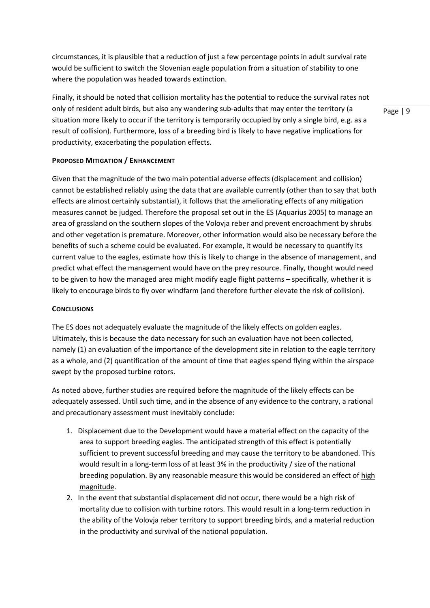circumstances, it is plausible that a reduction of just a few percentage points in adult survival rate would be sufficient to switch the Slovenian eagle population from a situation of stability to one where the population was headed towards extinction.

Finally, it should be noted that collision mortality has the potential to reduce the survival rates not only of resident adult birds, but also any wandering sub-adults that may enter the territory (a situation more likely to occur if the territory is temporarily occupied by only a single bird, e.g. as a result of collision). Furthermore, loss of a breeding bird is likely to have negative implications for productivity, exacerbating the population effects.

Page | 9

#### **PROPOSED MITIGATION / ENHANCEMENT**

Given that the magnitude of the two main potential adverse effects (displacement and collision) cannot be established reliably using the data that are available currently (other than to say that both effects are almost certainly substantial), it follows that the ameliorating effects of any mitigation measures cannot be judged. Therefore the proposal set out in the ES (Aquarius 2005) to manage an area of grassland on the southern slopes of the Volovja reber and prevent encroachment by shrubs and other vegetation is premature. Moreover, other information would also be necessary before the benefits of such a scheme could be evaluated. For example, it would be necessary to quantify its current value to the eagles, estimate how this is likely to change in the absence of management, and predict what effect the management would have on the prey resource. Finally, thought would need to be given to how the managed area might modify eagle flight patterns – specifically, whether it is likely to encourage birds to fly over windfarm (and therefore further elevate the risk of collision).

#### **CONCLUSIONS**

The ES does not adequately evaluate the magnitude of the likely effects on golden eagles. Ultimately, this is because the data necessary for such an evaluation have not been collected, namely (1) an evaluation of the importance of the development site in relation to the eagle territory as a whole, and (2) quantification of the amount of time that eagles spend flying within the airspace swept by the proposed turbine rotors.

As noted above, further studies are required before the magnitude of the likely effects can be adequately assessed. Until such time, and in the absence of any evidence to the contrary, a rational and precautionary assessment must inevitably conclude:

- 1. Displacement due to the Development would have a material effect on the capacity of the area to support breeding eagles. The anticipated strength of this effect is potentially sufficient to prevent successful breeding and may cause the territory to be abandoned. This would result in a long-term loss of at least 3% in the productivity / size of the national breeding population. By any reasonable measure this would be considered an effect of high magnitude.
- 2. In the event that substantial displacement did not occur, there would be a high risk of mortality due to collision with turbine rotors. This would result in a long-term reduction in the ability of the Volovja reber territory to support breeding birds, and a material reduction in the productivity and survival of the national population.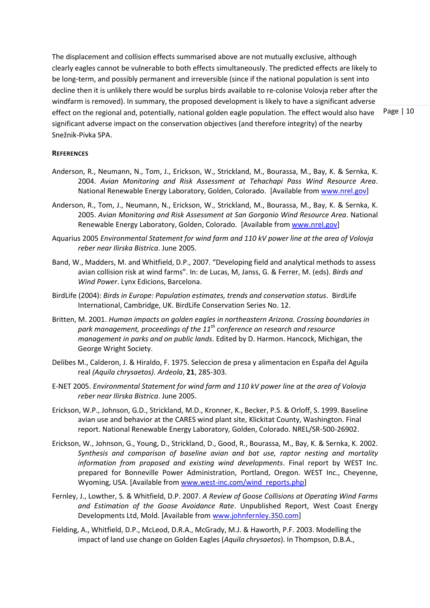The displacement and collision effects summarised above are not mutually exclusive, although clearly eagles cannot be vulnerable to both effects simultaneously. The predicted effects are likely to be long-term, and possibly permanent and irreversible (since if the national population is sent into decline then it is unlikely there would be surplus birds available to re-colonise Volovja reber after the windfarm is removed). In summary, the proposed development is likely to have a significant adverse effect on the regional and, potentially, national golden eagle population. The effect would also have significant adverse impact on the conservation objectives (and therefore integrity) of the nearby Snežnik-Pivka SPA.

Page | 10

#### **REFERENCES**

- Anderson, R., Neumann, N., Tom, J., Erickson, W., Strickland, M., Bourassa, M., Bay, K. & Sernka, K. 2004. *Avian Monitoring and Risk Assessment at Tehachapi Pass Wind Resource Area*. National Renewable Energy Laboratory, Golden, Colorado.[Available fro[m www.nrel.gov\]](http://www.nrel.gov/)
- Anderson, R., Tom, J., Neumann, N., Erickson, W., Strickland, M., Bourassa, M., Bay, K. & Sernka, K. 2005. *Avian Monitoring and Risk Assessment at San Gorgonio Wind Resource Area*. National Renewable Energy Laboratory, Golden, Colorado. [Available from [www.nrel.gov\]](http://www.nrel.gov/)
- Aquarius 2005 *Environmental Statement for wind farm and 110 kV power line at the area of Volovja reber near Ilirska Bistrica*. June 2005.
- Band, W., Madders, M. and Whitfield, D.P., 2007. "Developing field and analytical methods to assess avian collision risk at wind farms". In: de Lucas, M, Janss, G. & Ferrer, M. (eds). *Birds and Wind Power*. Lynx Edicions, Barcelona.
- BirdLife (2004): *Birds in Europe: Population estimates, trends and conservation status*. BirdLife International, Cambridge, UK. BirdLife Conservation Series No. 12.
- Britten, M. 2001. *Human impacts on golden eagles in northeastern Arizona. Crossing boundaries in park management, proceedings of the 11th conference on research and resource management in parks and on public lands*. Edited by D. Harmon. Hancock, Michigan, the George Wright Society.
- Delibes M., Calderon, J. & Hiraldo, F. 1975. Seleccion de presa y alimentacion en España del Aguila real *(Aquila chrysaetos). Ardeola*, **21**, 285-303.
- E-NET 2005. *Environmental Statement for wind farm and 110 kV power line at the area of Volovja reber near Ilirska Bistrica*. June 2005.
- Erickson, W.P., Johnson, G.D., Strickland, M.D., Kronner, K., Becker, P.S. & Orloff, S. 1999. Baseline avian use and behavior at the CARES wind plant site, Klickitat County, Washington. Final report. National Renewable Energy Laboratory, Golden, Colorado. NREL/SR-500-26902.
- Erickson, W., Johnson, G., Young, D., Strickland, D., Good, R., Bourassa, M., Bay, K. & Sernka, K. 2002. *Synthesis and comparison of baseline avian and bat use, raptor nesting and mortality information from proposed and existing wind developments*. Final report by WEST Inc. prepared for Bonneville Power Administration, Portland, Oregon. WEST Inc., Cheyenne, Wyoming, USA. [Available fro[m www.west-inc.com/wind\\_reports.php\]](http://www.west-inc.com/wind_reports.php)
- Fernley, J., Lowther, S. & Whitfield, D.P. 2007. *A Review of Goose Collisions at Operating Wind Farms and Estimation of the Goose Avoidance Rate*. Unpublished Report, West Coast Energy Developments Ltd, Mold. [Available from [www.johnfernley.350.com\]](http://www.johnfernley.350.com/)
- Fielding, A., Whitfield, D.P., McLeod, D.R.A., McGrady, M.J. & Haworth, P.F. 2003. Modelling the impact of land use change on Golden Eagles (*Aquila chrysaetos*). In Thompson, D.B.A.,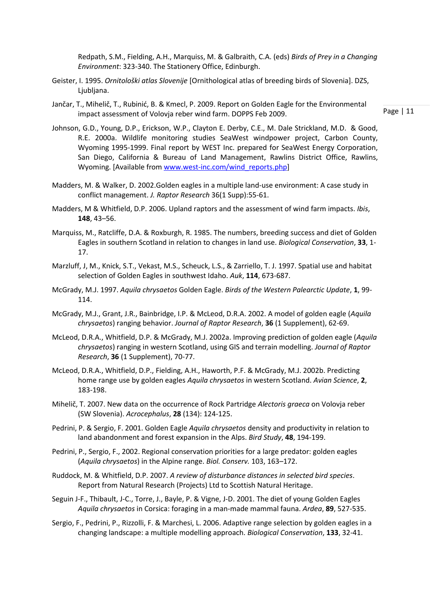Redpath, S.M., Fielding, A.H., Marquiss, M. & Galbraith, C.A. (eds) *Birds of Prey in a Changing Environment*: 323-340. The Stationery Office, Edinburgh.

- Geister, I. 1995. *Ornitološki atlas Slovenije* [Ornithological atlas of breeding birds of Slovenia]. DZS, Ljubljana.
- Jančar, T., Mihelič, T., Rubinić, B. & Kmecl, P. 2009. Report on Golden Eagle for the Environmental impact assessment of Volovja reber wind farm. DOPPS Feb 2009.

- Johnson, G.D., Young, D.P., Erickson, W.P., Clayton E. Derby, C.E., M. Dale Strickland, M.D. & Good, R.E. 2000a. Wildlife monitoring studies SeaWest windpower project, Carbon County, Wyoming 1995-1999. Final report by WEST Inc. prepared for SeaWest Energy Corporation, San Diego, California & Bureau of Land Management, Rawlins District Office, Rawlins, Wyoming. [Available from [www.west-inc.com/wind\\_reports.php\]](http://www.west-inc.com/wind_reports.php)
- Madders, M. & Walker, D. 2002.Golden eagles in a multiple land-use environment: A case study in conflict management. *J. Raptor Research* 36(1 Supp):55-61.
- Madders, M & Whitfield, D.P. 2006. Upland raptors and the assessment of wind farm impacts. *Ibis*, **148**, 43–56.
- Marquiss, M., Ratcliffe, D.A. & Roxburgh, R. 1985. The numbers, breeding success and diet of Golden Eagles in southern Scotland in relation to changes in land use. *Biological Conservation*, **33**, 1- 17.
- Marzluff, J, M., Knick, S.T., Vekast, M.S., Scheuck, L.S., & Zarriello, T. J. 1997. Spatial use and habitat selection of Golden Eagles in southwest Idaho. *Auk*, **114**, 673-687.
- McGrady, M.J. 1997. *Aquila chrysaetos* Golden Eagle. *Birds of the Western Palearctic Update*, **1**, 99- 114.
- McGrady, M.J., Grant, J.R., Bainbridge, I.P. & McLeod, D.R.A. 2002. A model of golden eagle (*Aquila chrysaetos*) ranging behavior. *Journal of Raptor Research*, **36** (1 Supplement), 62-69.
- McLeod, D.R.A., Whitfield, D.P. & McGrady, M.J. 2002a. Improving prediction of golden eagle (*Aquila chrysaetos*) ranging in western Scotland, using GIS and terrain modelling. *Journal of Raptor Research*, **36** (1 Supplement), 70-77.
- McLeod, D.R.A., Whitfield, D.P., Fielding, A.H., Haworth, P.F. & McGrady, M.J. 2002b. Predicting home range use by golden eagles *Aquila chrysaetos* in western Scotland. *Avian Science*, **2**, 183-198.
- Mihelič, T. 2007. New data on the occurrence of Rock Partridge *Alectoris graeca* on Volovja reber (SW Slovenia). *Acrocephalus*, **28** (134): 124-125.
- Pedrini, P. & Sergio, F. 2001. Golden Eagle *Aquila chrysaetos* density and productivity in relation to land abandonment and forest expansion in the Alps. *Bird Study*, **48**, 194-199.
- Pedrini, P., Sergio, F., 2002. Regional conservation priorities for a large predator: golden eagles (*Aquila chrysaetos*) in the Alpine range. *Biol. Conserv.* 103, 163–172.
- Ruddock, M. & Whitfield, D.P. 2007. *A review of disturbance distances in selected bird species*. Report from Natural Research (Projects) Ltd to Scottish Natural Heritage.
- Seguin J-F., Thibault, J-C., Torre, J., Bayle, P. & Vigne, J-D. 2001. The diet of young Golden Eagles *Aquila chrysaetos* in Corsica: foraging in a man-made mammal fauna. *Ardea*, **89**, 527-535.
- Sergio, F., Pedrini, P., Rizzolli, F. & Marchesi, L. 2006. Adaptive range selection by golden eagles in a changing landscape: a multiple modelling approach. *Biological Conservation*, **133**, 32-41.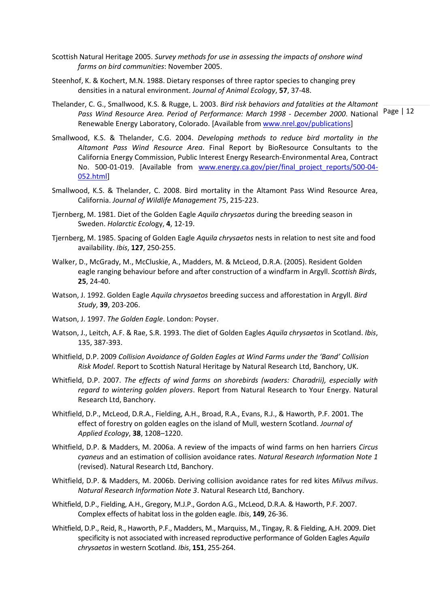- Scottish Natural Heritage 2005. *Survey methods for use in assessing the impacts of onshore wind farms on bird communities*: November 2005.
- Steenhof, K. & Kochert, M.N. 1988. Dietary responses of three raptor species to changing prey densities in a natural environment. *Journal of Animal Ecology*, **57**, 37-48.
- Pass Wind Resource Area. Period of Performance: March 1998 December 2000. National Page | 12 Thelander, C. G., Smallwood, K.S. & Rugge, L. 2003. *Bird risk behaviors and fatalities at the Altamont*  Renewable Energy Laboratory, Colorado. [Available from [www.nrel.gov/publications\]](http://www.nrel.gov/publications)
- Smallwood, K.S. & Thelander, C.G. 2004. *Developing methods to reduce bird mortality in the Altamont Pass Wind Resource Area*. Final Report by BioResource Consultants to the California Energy Commission, Public Interest Energy Research-Environmental Area, Contract No. 500-01-019. [Available from [www.energy.ca.gov/pier/final\\_project\\_reports/500-04-](http://www.energy.ca.gov/pier/final_project_reports/500-04-052.html) [052.html\]](http://www.energy.ca.gov/pier/final_project_reports/500-04-052.html)
- Smallwood, K.S. & Thelander, C. 2008. Bird mortality in the Altamont Pass Wind Resource Area, California. *Journal of Wildlife Management* 75, 215-223.
- Tjernberg, M. 1981. Diet of the Golden Eagle *Aquila chrysaetos* during the breeding season in Sweden. *Holarctic Ecol*ogy, **4**, 12-19.
- Tjernberg, M. 1985. Spacing of Golden Eagle *Aquila chrysaetos* nests in relation to nest site and food availability. *Ibis*, **127**, 250-255.
- Walker, D., McGrady, M., McCluskie, A., Madders, M. & McLeod, D.R.A. (2005). Resident Golden eagle ranging behaviour before and after construction of a windfarm in Argyll. *Scottish Birds*, **25**, 24-40.
- Watson, J. 1992. Golden Eagle *Aquila chrysaetos* breeding success and afforestation in Argyll. *Bird Study*, **39**, 203-206.
- Watson, J. 1997. *The Golden Eagle*. London: Poyser.
- Watson, J., Leitch, A.F. & Rae, S.R. 1993. The diet of Golden Eagles *Aquila chrysaetos* in Scotland. *Ibis*, 135, 387-393.
- Whitfield, D.P. 2009 *Collision Avoidance of Golden Eagles at Wind Farms under the 'Band' Collision Risk Model*. Report to Scottish Natural Heritage by Natural Research Ltd, Banchory, UK.
- Whitfield, D.P. 2007. *The effects of wind farms on shorebirds (waders: Charadrii), especially with regard to wintering golden plovers*. Report from Natural Research to Your Energy. Natural Research Ltd, Banchory.
- Whitfield, D.P., McLeod, D.R.A., Fielding, A.H., Broad, R.A., Evans, R.J., & Haworth, P.F. 2001. The effect of forestry on golden eagles on the island of Mull, western Scotland. *Journal of Applied Ecology*, **38**, 1208–1220.
- Whitfield, D.P. & Madders, M. 2006a. A review of the impacts of wind farms on hen harriers *Circus cyaneus* and an estimation of collision avoidance rates. *Natural Research Information Note 1* (revised). Natural Research Ltd, Banchory.
- Whitfield, D.P. & Madders, M. 2006b. Deriving collision avoidance rates for red kites *Milvus milvus*. *Natural Research Information Note 3*. Natural Research Ltd, Banchory.
- Whitfield, D.P., Fielding, A.H., Gregory, M.J.P., Gordon A.G., McLeod, D.R.A. & Haworth, P.F. 2007. Complex effects of habitat loss in the golden eagle. *Ibis*, **149**, 26-36.
- Whitfield, D.P., Reid, R., Haworth, P.F., Madders, M., Marquiss, M., Tingay, R. & Fielding, A.H. 2009. Diet specificity is not associated with increased reproductive performance of Golden Eagles *Aquila chrysaetos* in western Scotland. *Ibis*, **151**, 255-264.